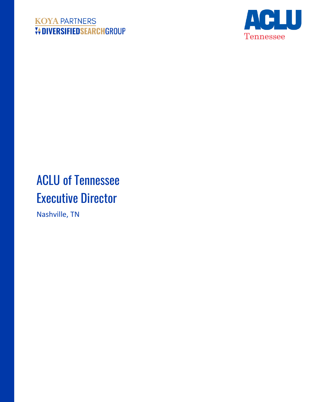# **KOYA PARTNERS V+DIVERSIFIEDSEARCHGROUP**



# ACLU of Tennessee Executive Director

Nashville, TN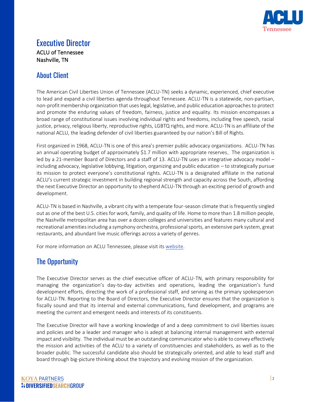

## Executive Director ACLU of Tennessee Nashville, TN

## About Client

The American Civil Liberties Union of Tennessee (ACLU-TN) seeks a dynamic, experienced, chief executive to lead and expand a civil liberties agenda throughout Tennessee. ACLU-TN is a statewide, non-partisan, non-profit membership organization that uses legal, legislative, and public education approaches to protect and promote the enduring values of freedom, fairness, justice and equality. Its mission encompasses a broad range of constitutional issues involving individual rights and freedoms, including free speech, racial justice, privacy, religious liberty, reproductive rights, LGBTQ rights, and more. ACLU-TN is an affiliate of the national ACLU, the leading defender of civil liberties guaranteed by our nation's Bill of Rights.

First organized in 1968, ACLU-TN is one of this area's premier public advocacy organizations. ACLU-TN has an annual operating budget of approximately \$1.7 million with appropriate reserves. The organization is led by a 21-member Board of Directors and a staff of 13. ACLU-TN uses an integrative advocacy model – including advocacy, legislative lobbying, litigation, organizing and public education – to strategically pursue its mission to protect everyone's constitutional rights. ACLU-TN is a designated affiliate in the national ACLU's current strategic investment in building regional strength and capacity across the South, affording the next Executive Director an opportunity to shepherd ACLU-TN through an exciting period of growth and development.

ACLU-TN is based in Nashville, a vibrant city with a temperate four-season climate that is frequently singled out as one of the best U.S. cities for work, family, and quality of life. Home to more than 1.8 million people, the Nashville metropolitan area has over a dozen colleges and universities and features many cultural and recreational amenities including a symphony orchestra, professional sports, an extensive park system, great restaurants, and abundant live music offerings across a variety of genres.

For more information on ACLU Tennessee, please visit its [website.](http://aclu-tn.org/)

# The Opportunity

The Executive Director serves as the chief executive officer of ACLU-TN, with primary responsibility for managing the organization's day-to-day activities and operations, leading the organization's fund development efforts, directing the work of a professional staff, and serving as the primary spokesperson for ACLU-TN. Reporting to the Board of Directors, the Executive Director ensures that the organization is fiscally sound and that its internal and external communications, fund development, and programs are meeting the current and emergent needs and interests of its constituents.

The Executive Director will have a working knowledge of and a deep commitment to civil liberties issues and policies and be a leader and manager who is adept at balancing internal management with external impact and visibility. The individual must be an outstanding communicator who is able to convey effectively the mission and activities of the ACLU to a variety of constituencies and stakeholders, as well as to the broader public. The successful candidate also should be strategically oriented, and able to lead staff and board through big-picture thinking about the trajectory and evolving mission of the organization.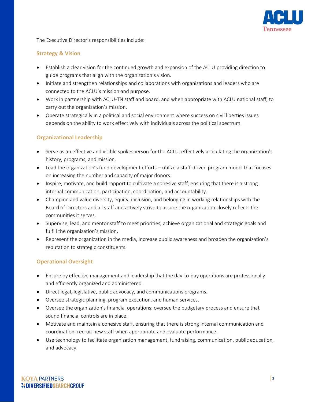

The Executive Director's responsibilities include:

#### **Strategy & Vision**

- Establish a clear vision for the continued growth and expansion of the ACLU providing direction to guide programs that align with the organization's vision.
- Initiate and strengthen relationships and collaborations with organizations and leaders who are connected to the ACLU's mission and purpose.
- Work in partnership with ACLU-TN staff and board, and when appropriate with ACLU national staff, to carry out the organization's mission.
- Operate strategically in a political and social environment where success on civil liberties issues depends on the ability to work effectively with individuals across the political spectrum.

#### **Organizational Leadership**

- Serve as an effective and visible spokesperson for the ACLU, effectively articulating the organization's history, programs, and mission.
- Lead the organization's fund development efforts utilize a staff-driven program model that focuses on increasing the number and capacity of major donors.
- Inspire, motivate, and build rapport to cultivate a cohesive staff, ensuring that there is a strong internal communication, participation, coordination, and accountability.
- Champion and value diversity, equity, inclusion, and belonging in working relationships with the Board of Directors and all staff and actively strive to assure the organization closely reflects the communities it serves.
- Supervise, lead, and mentor staff to meet priorities, achieve organizational and strategic goals and fulfill the organization's mission.
- Represent the organization in the media, increase public awareness and broaden the organization's reputation to strategic constituents.

#### **Operational Oversight**

- Ensure by effective management and leadership that the day-to-day operations are professionally and efficiently organized and administered.
- Direct legal, legislative, public advocacy, and communications programs.
- Oversee strategic planning, program execution, and human services.
- Oversee the organization's financial operations; oversee the budgetary process and ensure that sound financial controls are in place.
- Motivate and maintain a cohesive staff, ensuring that there is strong internal communication and coordination; recruit new staff when appropriate and evaluate performance.
- Use technology to facilitate organization management, fundraising, communication, public education, and advocacy.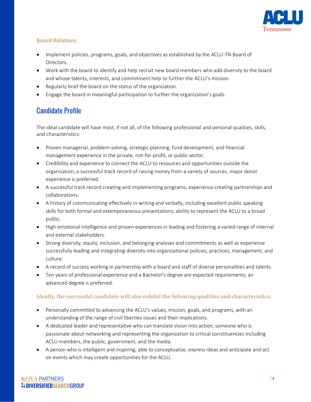

#### **Board Relations**

- Implement policies, programs, goals, and objectives as established by the ACLU-TN Board of Directors.
- Work with the board to identify and help recruit new board members who add diversity to the board and whose talents, interests, and commitment help to further the ACLU's mission.
- Regularly brief the board on the status of the organization.
- Engage the board in meaningful participation to further the organization's goals.

## Candidate Profile

The ideal candidate will have most, if not all, of the following professional and personal qualities, skills, and characteristics:

- Proven managerial, problem-solving, strategic planning, fund development, and financial management experience in the private, not-for-profit, or public sector.
- Credibility and experience to connect the ACLU to resources and opportunities outside the organization; a successful track record of raising money from a variety of sources, major donor experience is preferred.
- A successful track record creating and implementing programs; experience creating partnerships and collaborations.
- A history of communicating effectively in writing and verbally, including excellent public speaking skills for both formal and extemporaneous presentations; ability to represent the ACLU to a broad public.
- High emotional intelligence and proven experiences in leading and fostering a varied range of internal and external stakeholders.
- Strong diversity, equity, inclusion, and belonging analyses and commitments as well as experience successfully leading and integrating diversity into organizational policies, practices, management, and culture.
- A record of success working in partnership with a board and staff of diverse personalities and talents.
- Ten years of professional experience and a Bachelor's degree are expected requirements; an advanced degree is preferred.

#### **Ideally, the successful candidate will also exhibit the following qualities and characteristics:**

- Personally committed to advancing the ACLU's values, mission, goals, and programs, with an understanding of the range of civil liberties issues and their implications.
- A dedicated leader and representative who can translate vision into action; someone who is passionate about networking and representing the organization to critical constituencies including ACLU members, the public, government, and the media.
- A person who is intelligent and inspiring; able to conceptualize, express ideas and anticipate and act on events which may create opportunities for the ACLU.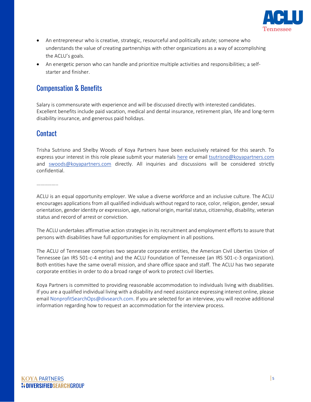

- An entrepreneur who is creative, strategic, resourceful and politically astute; someone who understands the value of creating partnerships with other organizations as a way of accomplishing the ACLU's goals.
- An energetic person who can handle and prioritize multiple activities and responsibilities; a selfstarter and finisher.

## Compensation & Benefits

Salary is commensurate with experience and will be discussed directly with interested candidates. Excellent benefits include paid vacation, medical and dental insurance, retirement plan, life and long-term disability insurance, and generous paid holidays.

### **Contact**

Trisha Sutrisno and Shelby Woods of Koya Partners have been exclusively retained for this search. To express your interest in this role please submit your materials [here](https://talent-profile.diversifiedsearchgroup.com/search/v2/18167) or email [tsutrisno@koyapartners.com](mailto:tsutrisno@koyapartners.com) and [swoods@koyapartners.com](mailto:swoods@koyapartners.com) directly. All inquiries and discussions will be considered strictly confidential.

…………………

ACLU is an equal opportunity employer. We value a diverse workforce and an inclusive culture. The ACLU encourages applications from all qualified individuals without regard to race, color, religion, gender, sexual orientation, gender identity or expression, age, national origin, marital status, citizenship, disability, veteran status and record of arrest or conviction.

The ACLU undertakes affirmative action strategies in its recruitment and employment efforts to assure that persons with disabilities have full opportunities for employment in all positions.

The ACLU of Tennessee comprises two separate corporate entities, the American Civil Liberties Union of Tennessee (an IRS 501-c-4 entity) and the ACLU Foundation of Tennessee (an IRS 501-c-3 organization). Both entities have the same overall mission, and share office space and staff. The ACLU has two separate corporate entities in order to do a broad range of work to protect civil liberties.

Koya Partners is committed to providing reasonable accommodation to individuals living with disabilities. If you are a qualified individual living with a disability and need assistance expressing interest online, please email NonprofitSearchOps@divsearch.com. If you are selected for an interview, you will receive additional information regarding how to request an accommodation for the interview process.